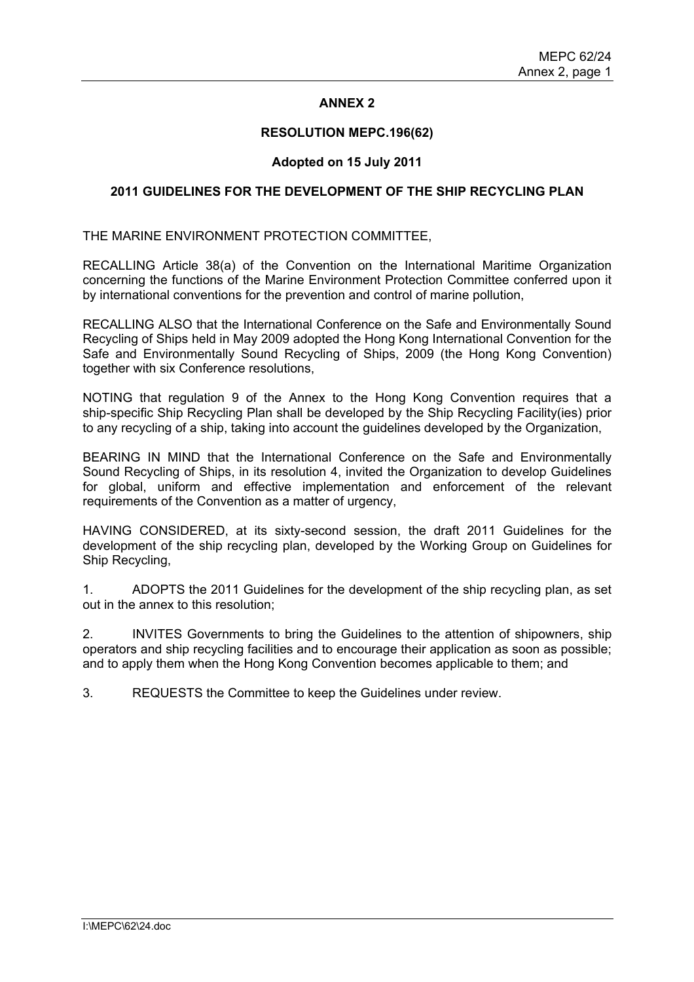## **ANNEX 2**

#### **RESOLUTION MEPC.196(62)**

## **Adopted on 15 July 2011**

#### **2011 GUIDELINES FOR THE DEVELOPMENT OF THE SHIP RECYCLING PLAN**

THE MARINE ENVIRONMENT PROTECTION COMMITTEE,

RECALLING Article 38(a) of the Convention on the International Maritime Organization concerning the functions of the Marine Environment Protection Committee conferred upon it by international conventions for the prevention and control of marine pollution,

RECALLING ALSO that the International Conference on the Safe and Environmentally Sound Recycling of Ships held in May 2009 adopted the Hong Kong International Convention for the Safe and Environmentally Sound Recycling of Ships, 2009 (the Hong Kong Convention) together with six Conference resolutions,

NOTING that regulation 9 of the Annex to the Hong Kong Convention requires that a ship-specific Ship Recycling Plan shall be developed by the Ship Recycling Facility(ies) prior to any recycling of a ship, taking into account the guidelines developed by the Organization,

BEARING IN MIND that the International Conference on the Safe and Environmentally Sound Recycling of Ships, in its resolution 4, invited the Organization to develop Guidelines for global, uniform and effective implementation and enforcement of the relevant requirements of the Convention as a matter of urgency,

HAVING CONSIDERED, at its sixty-second session, the draft 2011 Guidelines for the development of the ship recycling plan, developed by the Working Group on Guidelines for Ship Recycling,

1. ADOPTS the 2011 Guidelines for the development of the ship recycling plan, as set out in the annex to this resolution;

2. INVITES Governments to bring the Guidelines to the attention of shipowners, ship operators and ship recycling facilities and to encourage their application as soon as possible; and to apply them when the Hong Kong Convention becomes applicable to them; and

3. REQUESTS the Committee to keep the Guidelines under review.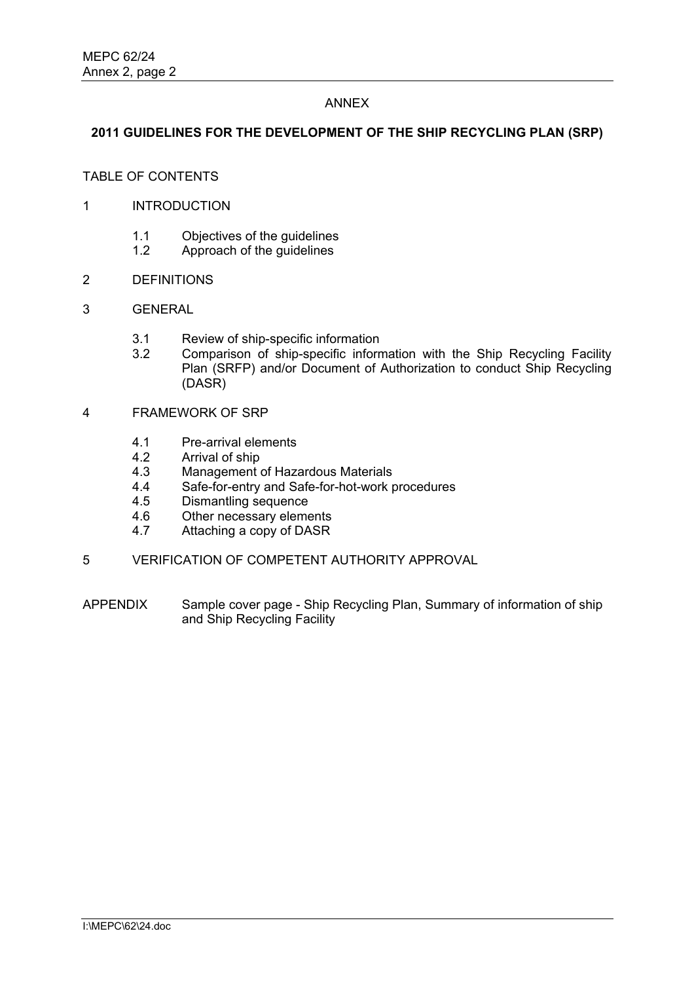#### ANNEX

### **2011 GUIDELINES FOR THE DEVELOPMENT OF THE SHIP RECYCLING PLAN (SRP)**

# TABLE OF CONTENTS

- 1 INTRODUCTION
	- 1.1 Objectives of the guidelines
	- 1.2 Approach of the guidelines
- 2 DEFINITIONS
- 3 GENERAL
	- 3.1 Review of ship-specific information
	- 3.2 Comparison of ship-specific information with the Ship Recycling Facility Plan (SRFP) and/or Document of Authorization to conduct Ship Recycling (DASR)
- 4 FRAMEWORK OF SRP
	- 4.1 Pre-arrival elements
	- 4.2 Arrival of ship
	- 4.3 Management of Hazardous Materials
	- 4.4 Safe-for-entry and Safe-for-hot-work procedures
	- 4.5 Dismantling sequence
	- 4.6 Other necessary elements<br>4.7 Attaching a copy of DASR
	- Attaching a copy of DASR
- 5 VERIFICATION OF COMPETENT AUTHORITY APPROVAL
- APPENDIX Sample cover page Ship Recycling Plan, Summary of information of ship and Ship Recycling Facility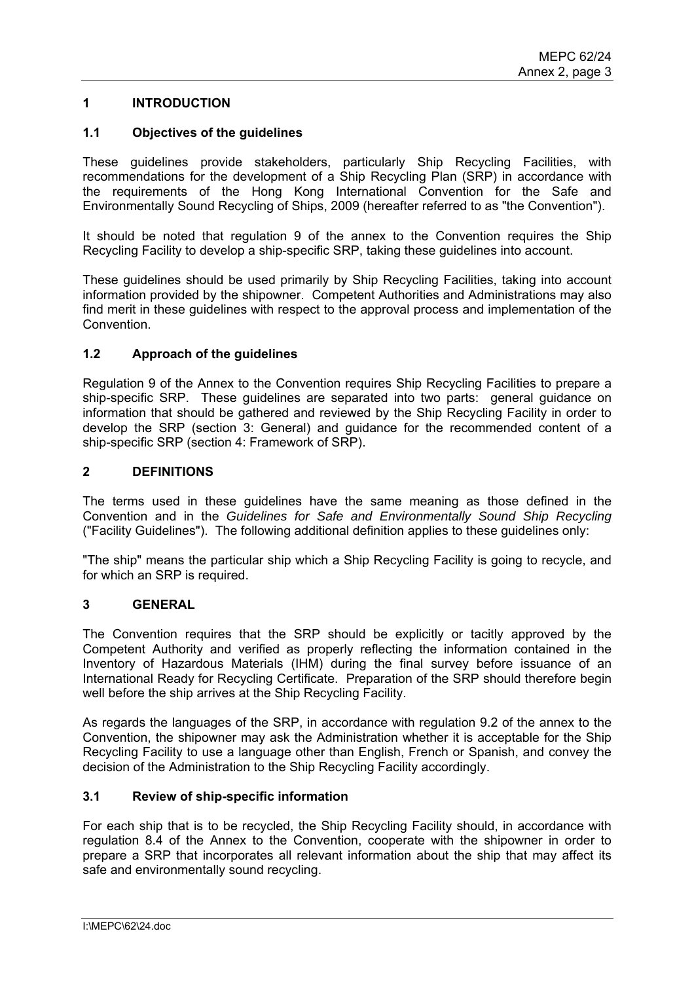## **1 INTRODUCTION**

#### **1.1 Objectives of the guidelines**

These guidelines provide stakeholders, particularly Ship Recycling Facilities, with recommendations for the development of a Ship Recycling Plan (SRP) in accordance with the requirements of the Hong Kong International Convention for the Safe and Environmentally Sound Recycling of Ships, 2009 (hereafter referred to as "the Convention").

It should be noted that regulation 9 of the annex to the Convention requires the Ship Recycling Facility to develop a ship-specific SRP, taking these guidelines into account.

These guidelines should be used primarily by Ship Recycling Facilities, taking into account information provided by the shipowner. Competent Authorities and Administrations may also find merit in these guidelines with respect to the approval process and implementation of the Convention.

#### **1.2 Approach of the guidelines**

Regulation 9 of the Annex to the Convention requires Ship Recycling Facilities to prepare a ship-specific SRP. These guidelines are separated into two parts: general guidance on information that should be gathered and reviewed by the Ship Recycling Facility in order to develop the SRP (section 3: General) and guidance for the recommended content of a ship-specific SRP (section 4: Framework of SRP).

#### **2 DEFINITIONS**

The terms used in these guidelines have the same meaning as those defined in the Convention and in the *Guidelines for Safe and Environmentally Sound Ship Recycling* ("Facility Guidelines"). The following additional definition applies to these guidelines only:

"The ship" means the particular ship which a Ship Recycling Facility is going to recycle, and for which an SRP is required.

#### **3 GENERAL**

The Convention requires that the SRP should be explicitly or tacitly approved by the Competent Authority and verified as properly reflecting the information contained in the Inventory of Hazardous Materials (IHM) during the final survey before issuance of an International Ready for Recycling Certificate. Preparation of the SRP should therefore begin well before the ship arrives at the Ship Recycling Facility.

As regards the languages of the SRP, in accordance with regulation 9.2 of the annex to the Convention, the shipowner may ask the Administration whether it is acceptable for the Ship Recycling Facility to use a language other than English, French or Spanish, and convey the decision of the Administration to the Ship Recycling Facility accordingly.

## **3.1 Review of ship-specific information**

For each ship that is to be recycled, the Ship Recycling Facility should, in accordance with regulation 8.4 of the Annex to the Convention, cooperate with the shipowner in order to prepare a SRP that incorporates all relevant information about the ship that may affect its safe and environmentally sound recycling.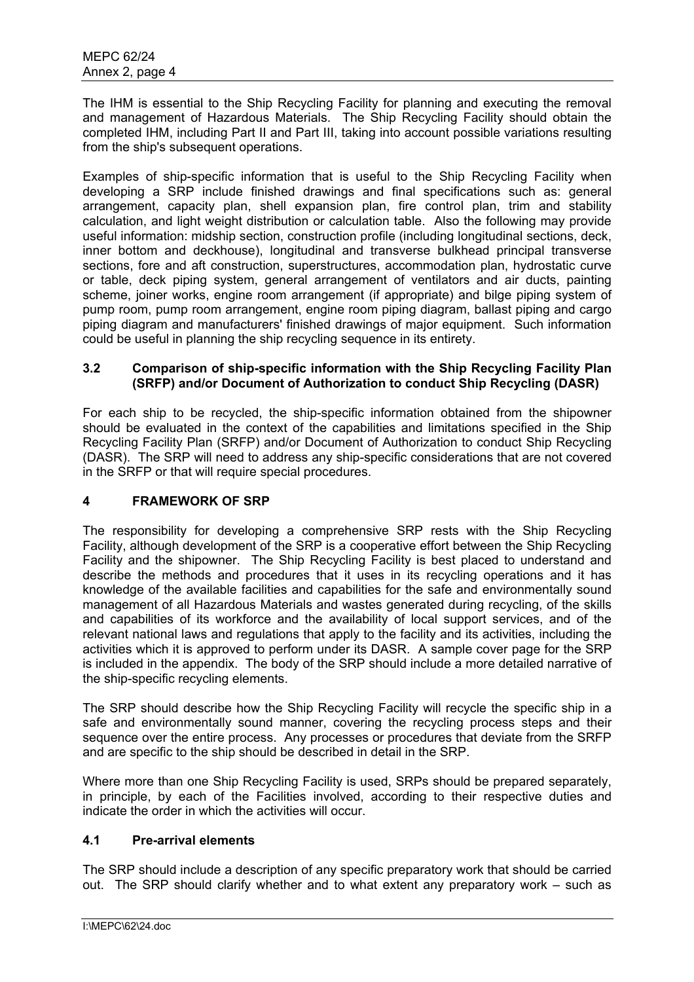The IHM is essential to the Ship Recycling Facility for planning and executing the removal and management of Hazardous Materials. The Ship Recycling Facility should obtain the completed IHM, including Part II and Part III, taking into account possible variations resulting from the ship's subsequent operations.

Examples of ship-specific information that is useful to the Ship Recycling Facility when developing a SRP include finished drawings and final specifications such as: general arrangement, capacity plan, shell expansion plan, fire control plan, trim and stability calculation, and light weight distribution or calculation table. Also the following may provide useful information: midship section, construction profile (including longitudinal sections, deck, inner bottom and deckhouse), longitudinal and transverse bulkhead principal transverse sections, fore and aft construction, superstructures, accommodation plan, hydrostatic curve or table, deck piping system, general arrangement of ventilators and air ducts, painting scheme, joiner works, engine room arrangement (if appropriate) and bilge piping system of pump room, pump room arrangement, engine room piping diagram, ballast piping and cargo piping diagram and manufacturers' finished drawings of major equipment. Such information could be useful in planning the ship recycling sequence in its entirety.

## **3.2 Comparison of ship-specific information with the Ship Recycling Facility Plan (SRFP) and/or Document of Authorization to conduct Ship Recycling (DASR)**

For each ship to be recycled, the ship-specific information obtained from the shipowner should be evaluated in the context of the capabilities and limitations specified in the Ship Recycling Facility Plan (SRFP) and/or Document of Authorization to conduct Ship Recycling (DASR). The SRP will need to address any ship-specific considerations that are not covered in the SRFP or that will require special procedures.

# **4 FRAMEWORK OF SRP**

The responsibility for developing a comprehensive SRP rests with the Ship Recycling Facility, although development of the SRP is a cooperative effort between the Ship Recycling Facility and the shipowner. The Ship Recycling Facility is best placed to understand and describe the methods and procedures that it uses in its recycling operations and it has knowledge of the available facilities and capabilities for the safe and environmentally sound management of all Hazardous Materials and wastes generated during recycling, of the skills and capabilities of its workforce and the availability of local support services, and of the relevant national laws and regulations that apply to the facility and its activities, including the activities which it is approved to perform under its DASR. A sample cover page for the SRP is included in the appendix. The body of the SRP should include a more detailed narrative of the ship-specific recycling elements.

The SRP should describe how the Ship Recycling Facility will recycle the specific ship in a safe and environmentally sound manner, covering the recycling process steps and their sequence over the entire process. Any processes or procedures that deviate from the SRFP and are specific to the ship should be described in detail in the SRP.

Where more than one Ship Recycling Facility is used, SRPs should be prepared separately, in principle, by each of the Facilities involved, according to their respective duties and indicate the order in which the activities will occur.

## **4.1 Pre-arrival elements**

The SRP should include a description of any specific preparatory work that should be carried out. The SRP should clarify whether and to what extent any preparatory work – such as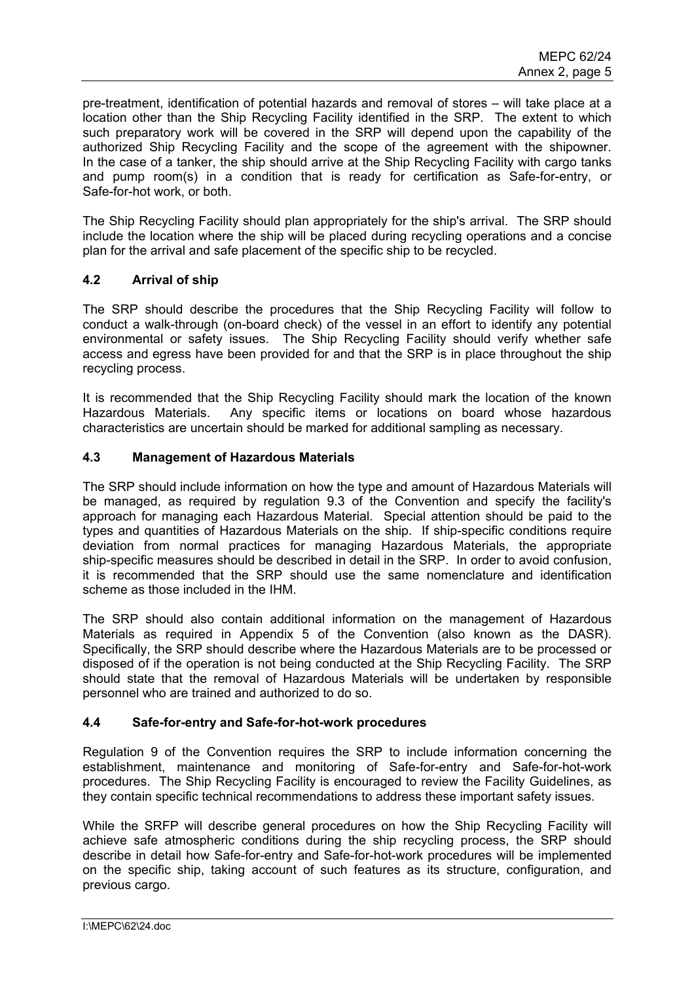pre-treatment, identification of potential hazards and removal of stores – will take place at a location other than the Ship Recycling Facility identified in the SRP. The extent to which such preparatory work will be covered in the SRP will depend upon the capability of the authorized Ship Recycling Facility and the scope of the agreement with the shipowner. In the case of a tanker, the ship should arrive at the Ship Recycling Facility with cargo tanks and pump room(s) in a condition that is ready for certification as Safe-for-entry, or Safe-for-hot work, or both.

The Ship Recycling Facility should plan appropriately for the ship's arrival. The SRP should include the location where the ship will be placed during recycling operations and a concise plan for the arrival and safe placement of the specific ship to be recycled.

# **4.2 Arrival of ship**

The SRP should describe the procedures that the Ship Recycling Facility will follow to conduct a walk-through (on-board check) of the vessel in an effort to identify any potential environmental or safety issues. The Ship Recycling Facility should verify whether safe access and egress have been provided for and that the SRP is in place throughout the ship recycling process.

It is recommended that the Ship Recycling Facility should mark the location of the known Hazardous Materials. Any specific items or locations on board whose hazardous characteristics are uncertain should be marked for additional sampling as necessary.

# **4.3 Management of Hazardous Materials**

The SRP should include information on how the type and amount of Hazardous Materials will be managed, as required by regulation 9.3 of the Convention and specify the facility's approach for managing each Hazardous Material. Special attention should be paid to the types and quantities of Hazardous Materials on the ship. If ship-specific conditions require deviation from normal practices for managing Hazardous Materials, the appropriate ship-specific measures should be described in detail in the SRP. In order to avoid confusion, it is recommended that the SRP should use the same nomenclature and identification scheme as those included in the IHM.

The SRP should also contain additional information on the management of Hazardous Materials as required in Appendix 5 of the Convention (also known as the DASR). Specifically, the SRP should describe where the Hazardous Materials are to be processed or disposed of if the operation is not being conducted at the Ship Recycling Facility. The SRP should state that the removal of Hazardous Materials will be undertaken by responsible personnel who are trained and authorized to do so.

## **4.4 Safe-for-entry and Safe-for-hot-work procedures**

Regulation 9 of the Convention requires the SRP to include information concerning the establishment, maintenance and monitoring of Safe-for-entry and Safe-for-hot-work procedures. The Ship Recycling Facility is encouraged to review the Facility Guidelines, as they contain specific technical recommendations to address these important safety issues.

While the SRFP will describe general procedures on how the Ship Recycling Facility will achieve safe atmospheric conditions during the ship recycling process, the SRP should describe in detail how Safe-for-entry and Safe-for-hot-work procedures will be implemented on the specific ship, taking account of such features as its structure, configuration, and previous cargo.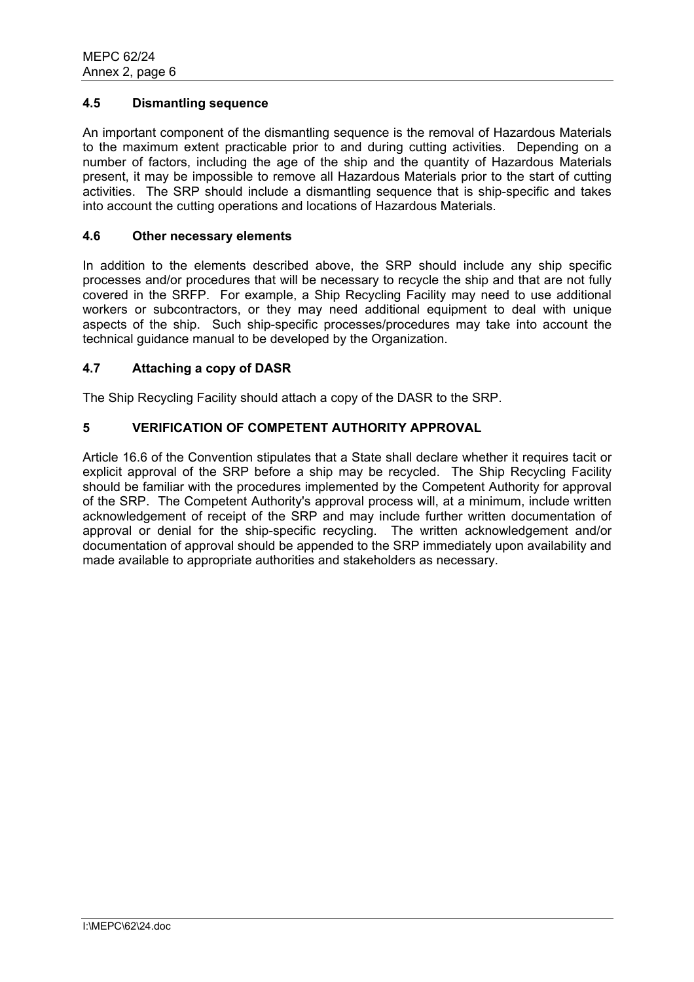# **4.5 Dismantling sequence**

An important component of the dismantling sequence is the removal of Hazardous Materials to the maximum extent practicable prior to and during cutting activities. Depending on a number of factors, including the age of the ship and the quantity of Hazardous Materials present, it may be impossible to remove all Hazardous Materials prior to the start of cutting activities. The SRP should include a dismantling sequence that is ship-specific and takes into account the cutting operations and locations of Hazardous Materials.

## **4.6 Other necessary elements**

In addition to the elements described above, the SRP should include any ship specific processes and/or procedures that will be necessary to recycle the ship and that are not fully covered in the SRFP. For example, a Ship Recycling Facility may need to use additional workers or subcontractors, or they may need additional equipment to deal with unique aspects of the ship. Such ship-specific processes/procedures may take into account the technical guidance manual to be developed by the Organization.

# **4.7 Attaching a copy of DASR**

The Ship Recycling Facility should attach a copy of the DASR to the SRP.

# **5 VERIFICATION OF COMPETENT AUTHORITY APPROVAL**

Article 16.6 of the Convention stipulates that a State shall declare whether it requires tacit or explicit approval of the SRP before a ship may be recycled. The Ship Recycling Facility should be familiar with the procedures implemented by the Competent Authority for approval of the SRP. The Competent Authority's approval process will, at a minimum, include written acknowledgement of receipt of the SRP and may include further written documentation of approval or denial for the ship-specific recycling. The written acknowledgement and/or documentation of approval should be appended to the SRP immediately upon availability and made available to appropriate authorities and stakeholders as necessary.